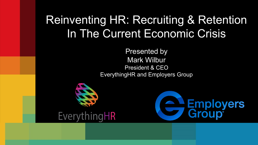# Reinventing HR: Recruiting & Retention In The Current Economic Crisis

Presented by Mark Wilbur President & CEO EverythingHR and Employers Group



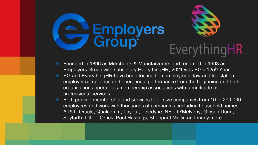

- Founded in 1896 as Merchants & Manufacturers and renamed in 1993 as Employers Group with subsidiary EverythingHR; 2021 was EG's 125<sup>th</sup> Year
- **EG and EverythingHR have been focused on employment law and legislation,** employer compliance and operational performance from the beginning and both organizations operate as membership associations with a multitude of professional services
- Both provide membership and services to all size companies from 10 to 200,000 employees and work with thousands of companies, including household names AT&T, Oracle, Qualcomm, Toyota, Teledyne, NFL, O'Melveny, Gibson Dunn, Seyfarth, Littler, Orrick, Paul Hastings, Sheppard Mullin and many more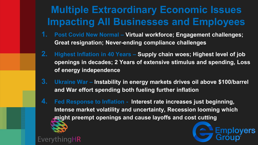## **Multiple Extraordinary Economic Issues Impacting All Businesses and Employees**

- **1. Post Covid New Normal – Virtual workforce; Engagement challenges; Great resignation; Never-ending compliance challenges**
- **2. Highest Inflation in 40 Years – Supply chain woes; Highest level of job openings in decades; 2 Years of extensive stimulus and spending, Loss of energy independence**
- **3. Ukraine War – Instability in energy markets drives oil above \$100/barrel and War effort spending both fueling further inflation**

oyers

**4. Fed Response to Inflation - Interest rate increases just beginning, Intense market volatility and uncertainty, Recession looming which might preempt openings and cause layoffs and cost cutting** 

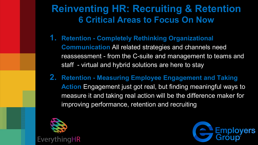### **Reinventing HR: Recruiting & Retention 6 Critical Areas to Focus On Now**

- **1. Retention - Completely Rethinking Organizational Communication** All related strategies and channels need reassessment - from the C-suite and management to teams and staff - virtual and hybrid solutions are here to stay
- **2. Retention - Measuring Employee Engagement and Taking Action** Engagement just got real, but finding meaningful ways to measure it and taking real action will be the difference maker for improving performance, retention and recruiting



EverythingHR

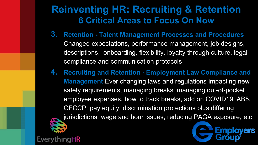#### **Reinventing HR: Recruiting & Retention 6 Critical Areas to Focus On Now**

- **3. Retention - Talent Management Processes and Procedures**  Changed expectations, performance management, job designs, descriptions, onboarding, flexibility, loyalty through culture, legal compliance and communication protocols
- **4. Recruiting and Retention - Employment Law Compliance and Management** Ever changing laws and regulations impacting new safety requirements, managing breaks, managing out-of-pocket employee expenses, how to track breaks, add on COVID19, AB5, OFCCP, pay equity, discrimination protections plus differing jurisdictions, wage and hour issues, reducing PAGA exposure, etc

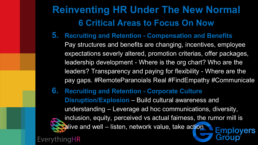## **Reinventing HR Under The New Normal 6 Critical Areas to Focus On Now**

- **5. Recruiting and Retention - Compensation and Benefits** 
	- Pay structures and benefits are changing, incentives, employee expectations severly altered, promotion criterias, offer packages, leadership development - Where is the org chart? Who are the leaders? Transparency and paying for flexibility - Where are the pay gaps. #RemoteParanoiaIs Real #FindEmpathy #Communicate
- **6. Recruiting and Retention - Corporate Culture Disruption/Explosion** – Build cultural awareness and understanding – Leverage ad hoc communications, diversity, inclusion, equity, perceived vs actual fairness, the rumor mill is  $\blacksquare$ alive and well – listen, network value, take action **Emplovers** EverythingHR